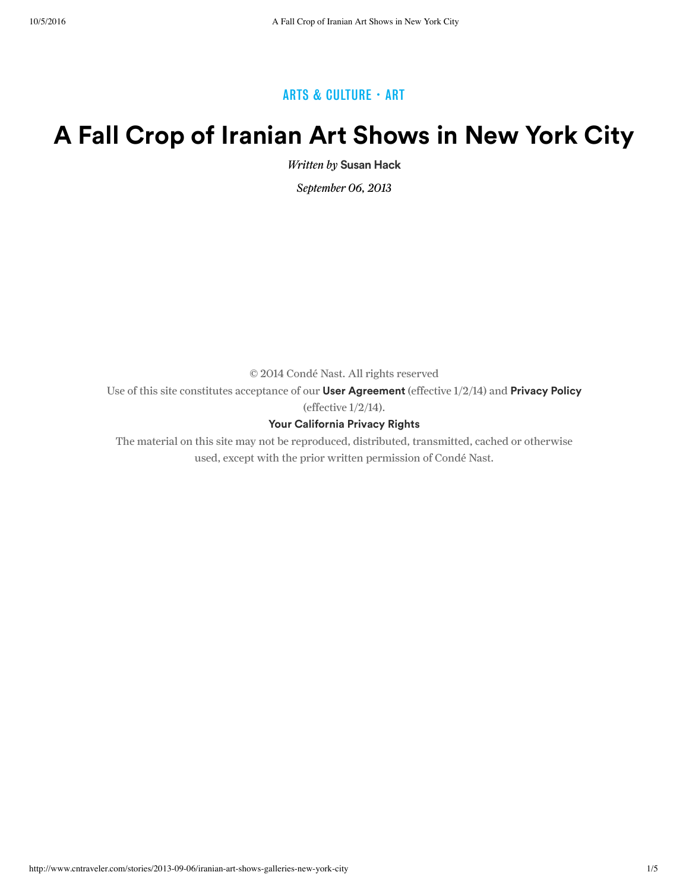### ARTS & CULTURE · ART

# **A Fall Crop of Iranian Art Shows in New York City**

Written by **Susan Hack**

September 06, 2013

© 2014 Condé Nast. All rights reserved

Use of this site constitutes acceptance of our **User Agreement** (effective 1/2/14) and **Privacy Policy** (effective 1/2/14).

#### **Your California Privacy Rights**

The material on this site may not be reproduced, distributed, transmitted, cached or otherwise used, except with the prior written permission of Condé Nast.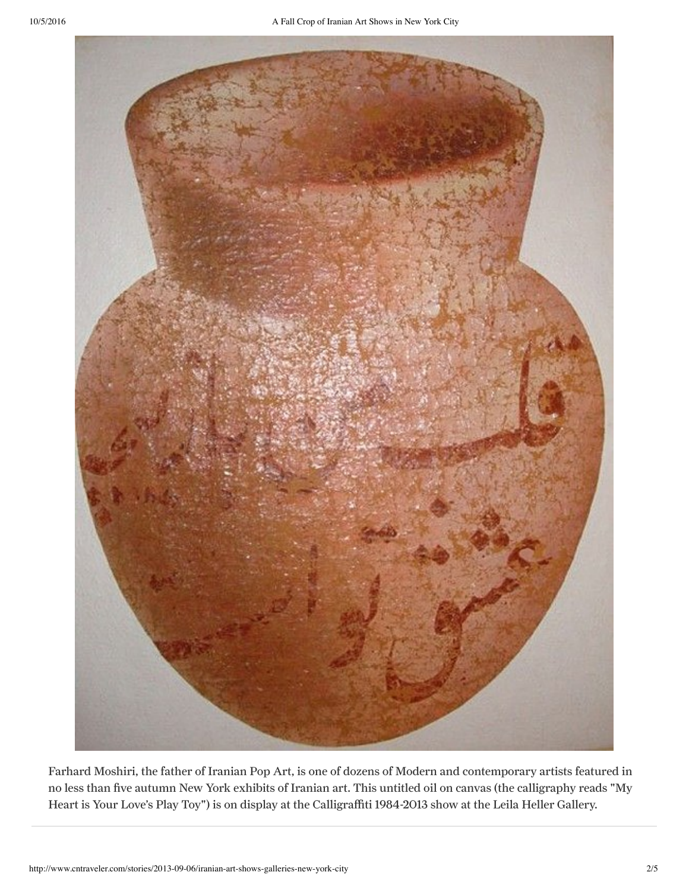

Farhard Moshiri, the father of Iranian Pop Art, is one of dozens of Modern and contemporary artists featured in no less than five autumn New York exhibits of Iranian art. This untitled oil on canvas (the calligraphy reads "My Heart is Your Love's Play Toy") is on display at the Calligraffiti 19842013 show at the Leila Heller Gallery.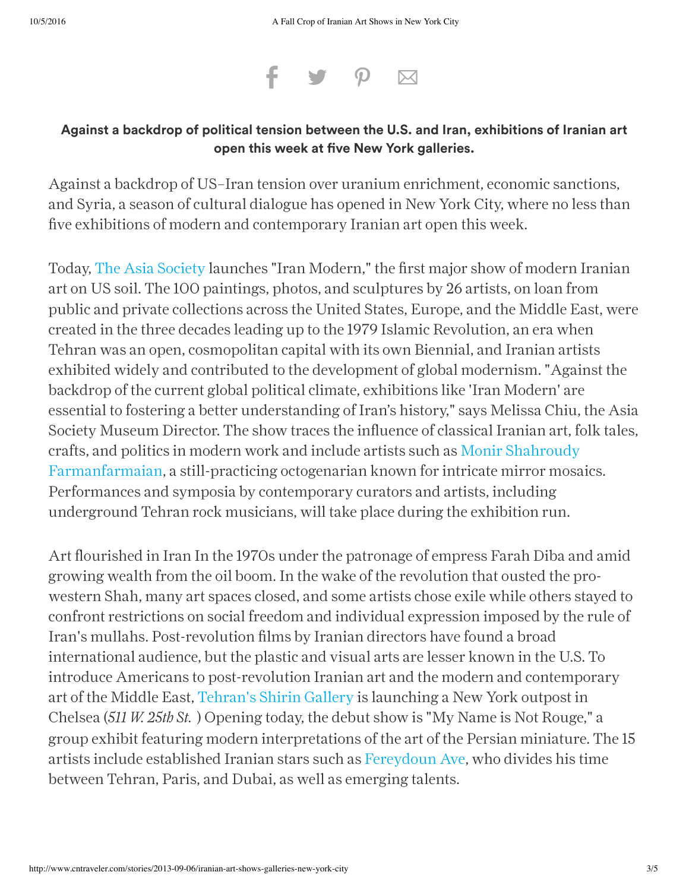

### **Against a backdrop of political tension between the U.S. and Iran, exhibitions of Iranian art open this week at ve New York galleries.**

Against a backdrop of US–Iran tension over uranium enrichment, economic sanctions, and Syria, a season of cultural dialogue has opened in New York City, where no less than five exhibitions of modern and contemporary Iranian art open this week.

Today, The Asia Society launches "Iran Modern," the first major show of modern Iranian art on US soil. The 100 paintings, photos, and sculptures by 26 artists, on loan from public and private collections across the United States, Europe, and the Middle East, were created in the three decades leading up to the 1979 Islamic Revolution, an era when Tehran was an open, cosmopolitan capital with its own Biennial, and Iranian artists exhibited widely and contributed to the development of global modernism. "Against the backdrop of the current global political climate, exhibitions like 'Iran Modern' are essential to fostering a better understanding of Iran's history," says Melissa Chiu, the Asia Society Museum Director. The show traces the influence of classical Iranian art, folk tales, crafts, and politics in modern work and include artists such as Monir Shahroudy Farmanfarmaian, a still-practicing octogenarian known for intricate mirror mosaics. Performances and symposia by contemporary curators and artists, including underground Tehran rock musicians, will take place during the exhibition run.

Art flourished in Iran In the 1970s under the patronage of empress Farah Diba and amid growing wealth from the oil boom. In the wake of the revolution that ousted the prowestern Shah, many art spaces closed, and some artists chose exile while others stayed to confront restrictions on social freedom and individual expression imposed by the rule of Iran's mullahs. Post-revolution films by Iranian directors have found a broad international audience, but the plastic and visual arts are lesser known in the U.S. To introduce Americans to post-revolution Iranian art and the modern and contemporary art of the Middle East, Tehran's Shirin Gallery is launching a New York outpost in Chelsea (*511 W. 25th St.* ) Opening today, the debut show is "My Name is Not Rouge," a group exhibit featuring modern interpretations of the art of the Persian miniature. The 15 artists include established Iranian stars such as Fereydoun Ave, who divides his time between Tehran, Paris, and Dubai, as well as emerging talents.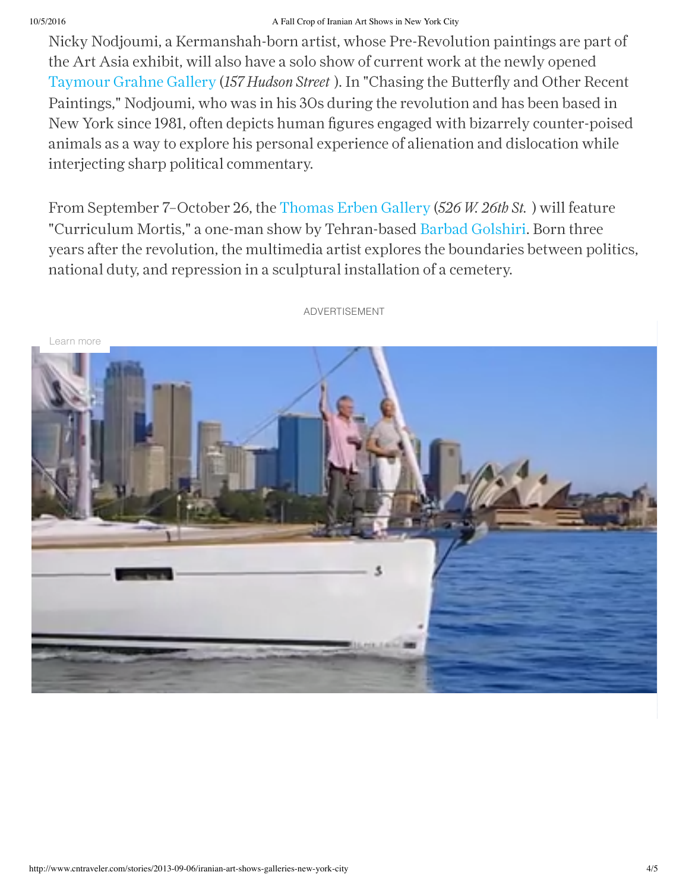#### 10/5/2016 A Fall Crop of Iranian Art Shows in New York City

Nicky Nodjoumi, a Kermanshah-born artist, whose Pre-Revolution paintings are part of the Art Asia exhibit, will also have a solo show of current work at the newly opened Taymour Grahne Gallery (*157 Hudson Street* ). In "Chasing the Butterfly and Other Recent Paintings," Nodjoumi, who was in his 30s during the revolution and has been based in New York since 1981, often depicts human figures engaged with bizarrely counter-poised animals as a way to explore his personal experience of alienation and dislocation while interjecting sharp political commentary.

From September 7–October 26, the Thomas Erben Gallery (*526 W. 26th St.* ) will feature "Curriculum Mortis," a one-man show by Tehran-based Barbad Golshiri. Born three years after the revolution, the multimedia artist explores the boundaries between politics, national duty, and repression in a sculptural installation of a cemetery.



ADVERTISEMENT